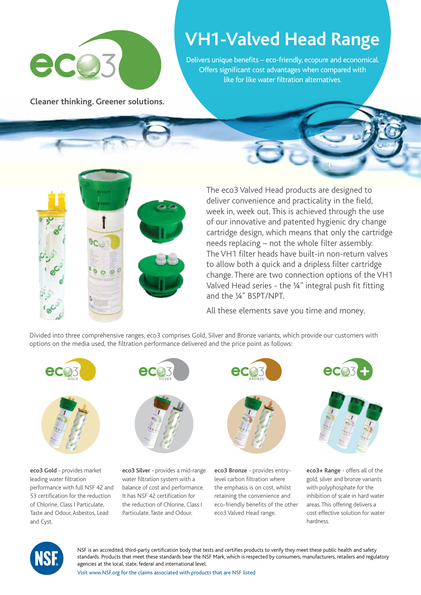

**Cleaner thinking. Greener solutions.**

## **VH1-Valved Head Range**

Delivers unique benefits – eco-friendly, ecopure and economical. Offers significant cost advantages when compared with like for like water filtration alternatives.



The eco3 Valved Head products are designed to deliver convenience and practicality in the field, week in, week out. This is achieved through the use of our innovative and patented hygienic dry change cartridge design, which means that only the cartridge needs replacing – not the whole filter assembly. The VH1 filter heads have built-in non-return valves to allow both a quick and a dripless filter cartridge change. There are two connection options of the VH1 Valved Head series - the ¼" integral push fit fitting and the ¼" BSPT/NPT.

All these elements save you time and money.

Divided into three comprehensive ranges, eco3 comprises Gold, Silver and Bronze variants, which provide our customers with options on the media used, the filtration performance delivered and the price point as follows:



**eco3 Gold** - provides market leading water filtration performance with full NSF 42 and 53 certification for the reduction of Chlorine, Class I Particulate, Taste and Odour, Asbestos, Lead and Cyst.



**eco3 Silver** - provides a mid-range water filtration system with a balance of cost and performance. It has NSF 42 certification for the reduction of Chlorine, Class I Particulate, Taste and Odour.



**eco3 Bronze** - provides entrylevel carbon filtration where the emphasis is on cost, whilst retaining the convenience and eco-friendly benefits of the other eco3 Valved Head range.





**eco3+ Range** - offers all of the gold, silver and bronze variants with polyphosphate for the inhibition of scale in hard water areas. This offering delivers a cost effective solution for water hardness.



NSF is an accredited, third-party certification body that tests and certifies products to verify they meet these public health and safety standards. Products that meet these standards bear the NSF Mark, which is respected by consumers, manufacturers, retailers and regulatory agencies at the local, state, federal and international level.

Visit www.NSF.org for the claims associated with products that are NSF listed